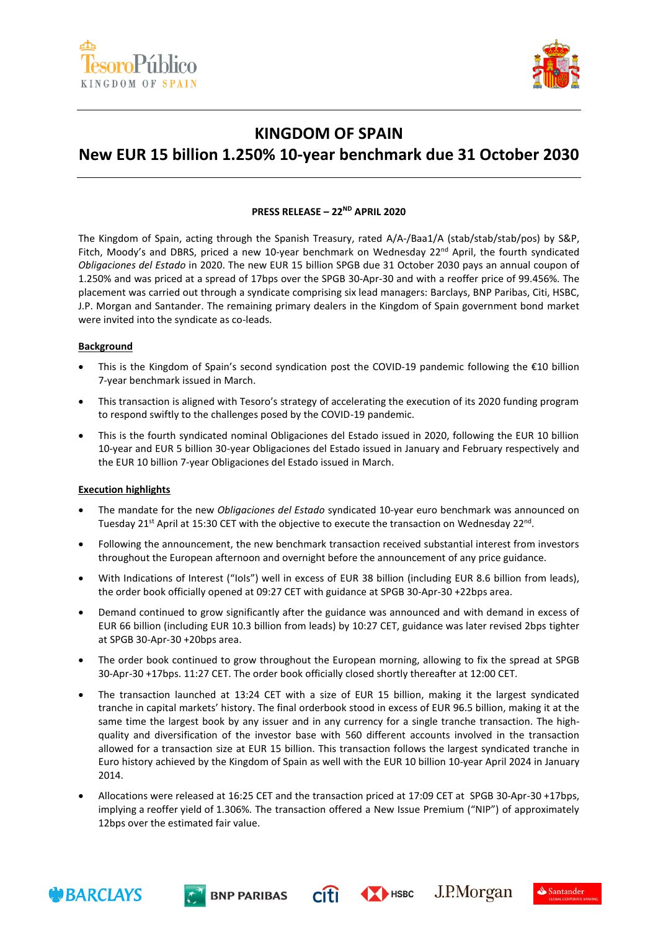



## **KINGDOM OF SPAIN**

# **New EUR 15 billion 1.250% 10-year benchmark due 31 October 2030**

### **PRESS RELEASE – 22ND APRIL 2020**

The Kingdom of Spain, acting through the Spanish Treasury, rated A/A-/Baa1/A (stab/stab/stab/pos) by S&P, Fitch, Moody's and DBRS, priced a new 10-year benchmark on Wednesday  $22^{nd}$  April, the fourth syndicated *Obligaciones del Estado* in 2020. The new EUR 15 billion SPGB due 31 October 2030 pays an annual coupon of 1.250% and was priced at a spread of 17bps over the SPGB 30-Apr-30 and with a reoffer price of 99.456%. The placement was carried out through a syndicate comprising six lead managers: Barclays, BNP Paribas, Citi, HSBC, J.P. Morgan and Santander. The remaining primary dealers in the Kingdom of Spain government bond market were invited into the syndicate as co-leads.

#### **Background**

- This is the Kingdom of Spain's second syndication post the COVID-19 pandemic following the €10 billion 7-year benchmark issued in March.
- This transaction is aligned with Tesoro's strategy of accelerating the execution of its 2020 funding program to respond swiftly to the challenges posed by the COVID-19 pandemic.
- This is the fourth syndicated nominal Obligaciones del Estado issued in 2020, following the EUR 10 billion 10-year and EUR 5 billion 30-year Obligaciones del Estado issued in January and February respectively and the EUR 10 billion 7-year Obligaciones del Estado issued in March.

#### **Execution highlights**

- The mandate for the new *Obligaciones del Estado* syndicated 10-year euro benchmark was announced on Tuesday 21<sup>st</sup> April at 15:30 CET with the objective to execute the transaction on Wednesday 22<sup>nd</sup>.
- Following the announcement, the new benchmark transaction received substantial interest from investors throughout the European afternoon and overnight before the announcement of any price guidance.
- With Indications of Interest ("IoIs") well in excess of EUR 38 billion (including EUR 8.6 billion from leads), the order book officially opened at 09:27 CET with guidance at SPGB 30-Apr-30 +22bps area.
- Demand continued to grow significantly after the guidance was announced and with demand in excess of EUR 66 billion (including EUR 10.3 billion from leads) by 10:27 CET, guidance was later revised 2bps tighter at SPGB 30-Apr-30 +20bps area.
- The order book continued to grow throughout the European morning, allowing to fix the spread at SPGB 30-Apr-30 +17bps. 11:27 CET. The order book officially closed shortly thereafter at 12:00 CET.
- The transaction launched at 13:24 CET with a size of EUR 15 billion, making it the largest syndicated tranche in capital markets' history. The final orderbook stood in excess of EUR 96.5 billion, making it at the same time the largest book by any issuer and in any currency for a single tranche transaction. The highquality and diversification of the investor base with 560 different accounts involved in the transaction allowed for a transaction size at EUR 15 billion. This transaction follows the largest syndicated tranche in Euro history achieved by the Kingdom of Spain as well with the EUR 10 billion 10-year April 2024 in January 2014.
- Allocations were released at 16:25 CET and the transaction priced at 17:09 CET at SPGB 30-Apr-30 +17bps, implying a reoffer yield of 1.306%. The transaction offered a New Issue Premium ("NIP") of approximately 12bps over the estimated fair value.







 $C(f)$   $\leftrightarrow$   $H$   $H$   $\rightarrow$   $I$ . P. Morgan